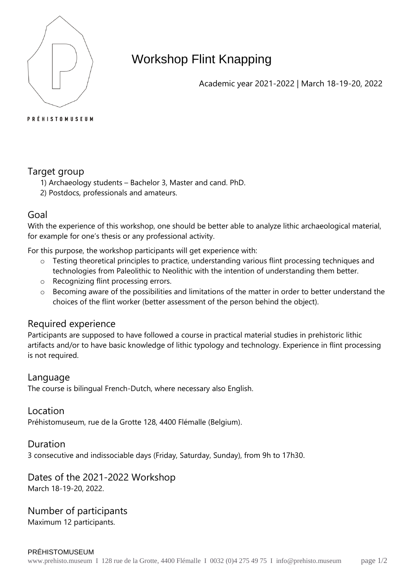

# Workshop Flint Knapping

Academic year 2021-2022 | March 18-19-20, 2022

#### **PRÉHISTOMUSEUM**

## Target group

- 1) Archaeology students Bachelor 3, Master and cand. PhD.
- 2) Postdocs, professionals and amateurs.

### Goal

With the experience of this workshop, one should be better able to analyze lithic archaeological material, for example for one's thesis or any professional activity.

For this purpose, the workshop participants will get experience with:

- o Testing theoretical principles to practice, understanding various flint processing techniques and technologies from Paleolithic to Neolithic with the intention of understanding them better.
- o Recognizing flint processing errors.
- o Becoming aware of the possibilities and limitations of the matter in order to better understand the choices of the flint worker (better assessment of the person behind the object).

### Required experience

Participants are supposed to have followed a course in practical material studies in prehistoric lithic artifacts and/or to have basic knowledge of lithic typology and technology. Experience in flint processing is not required.

#### Language

The course is bilingual French-Dutch, where necessary also English.

Location Préhistomuseum, rue de la Grotte 128, 4400 Flémalle (Belgium).

#### Duration

3 consecutive and indissociable days (Friday, Saturday, Sunday), from 9h to 17h30.

#### Dates of the 2021-2022 Workshop March 18-19-20, 2022.

Number of participants Maximum 12 participants.

PRÉHISTOMUSEUM